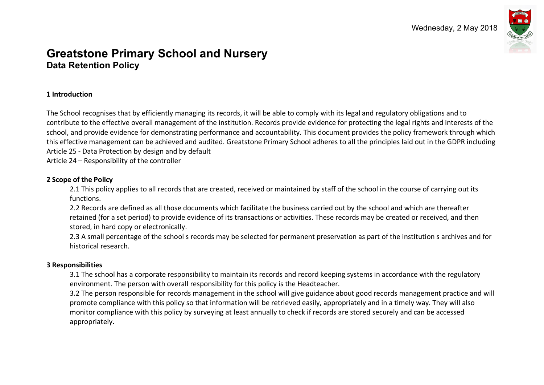

# **Greatstone Primary School and Nursery Data Retention Policy**

#### **1 Introduction**

The School recognises that by efficiently managing its records, it will be able to comply with its legal and regulatory obligations and to contribute to the effective overall management of the institution. Records provide evidence for protecting the legal rights and interests of the school, and provide evidence for demonstrating performance and accountability. This document provides the policy framework through which this effective management can be achieved and audited. Greatstone Primary School adheres to all the principles laid out in the GDPR including Article 25 - Data Protection by design and by default

Article 24 – Responsibility of the controller

#### **2 Scope of the Policy**

2.1 This policy applies to all records that are created, received or maintained by staff of the school in the course of carrying out its functions.

2.2 Records are defined as all those documents which facilitate the business carried out by the school and which are thereafter retained (for a set period) to provide evidence of its transactions or activities. These records may be created or received, and then stored, in hard copy or electronically.

2.3 A small percentage of the school s records may be selected for permanent preservation as part of the institution s archives and for historical research.

#### **3 Responsibilities**

3.1 The school has a corporate responsibility to maintain its records and record keeping systems in accordance with the regulatory environment. The person with overall responsibility for this policy is the Headteacher.

3.2 The person responsible for records management in the school will give guidance about good records management practice and will promote compliance with this policy so that information will be retrieved easily, appropriately and in a timely way. They will also monitor compliance with this policy by surveying at least annually to check if records are stored securely and can be accessed appropriately.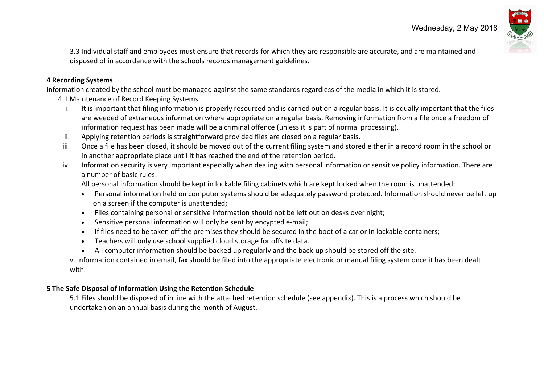

3.3 Individual staff and employees must ensure that records for which they are responsible are accurate, and are maintained and disposed of in accordance with the schools records management guidelines.

#### **4 Recording Systems**

Information created by the school must be managed against the same standards regardless of the media in which it is stored.

- 4.1 Maintenance of Record Keeping Systems
	- i. It is important that filing information is properly resourced and is carried out on a regular basis. It is equally important that the files are weeded of extraneous information where appropriate on a regular basis. Removing information from a file once a freedom of information request has been made will be a criminal offence (unless it is part of normal processing).
	- ii. Applying retention periods is straightforward provided files are closed on a regular basis.
- iii. Once a file has been closed, it should be moved out of the current filing system and stored either in a record room in the school or in another appropriate place until it has reached the end of the retention period.
- iv. Information security is very important especially when dealing with personal information or sensitive policy information. There are a number of basic rules:

All personal information should be kept in lockable filing cabinets which are kept locked when the room is unattended;

- Personal information held on computer systems should be adequately password protected. Information should never be left up on a screen if the computer is unattended;
- Files containing personal or sensitive information should not be left out on desks over night;
- Sensitive personal information will only be sent by encypted e-mail;
- If files need to be taken off the premises they should be secured in the boot of a car or in lockable containers;
- Teachers will only use school supplied cloud storage for offsite data.
- All computer information should be backed up regularly and the back-up should be stored off the site.

v. Information contained in email, fax should be filed into the appropriate electronic or manual filing system once it has been dealt with.

#### **5 The Safe Disposal of Information Using the Retention Schedule**

5.1 Files should be disposed of in line with the attached retention schedule (see appendix). This is a process which should be undertaken on an annual basis during the month of August.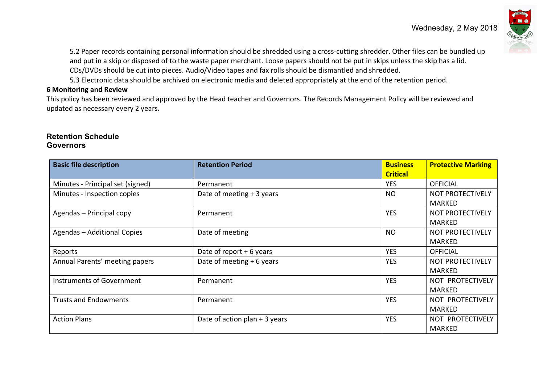

5.2 Paper records containing personal information should be shredded using a cross-cutting shredder. Other files can be bundled up and put in a skip or disposed of to the waste paper merchant. Loose papers should not be put in skips unless the skip has a lid. CDs/DVDs should be cut into pieces. Audio/Video tapes and fax rolls should be dismantled and shredded.

5.3 Electronic data should be archived on electronic media and deleted appropriately at the end of the retention period.

#### **6 Monitoring and Review**

This policy has been reviewed and approved by the Head teacher and Governors. The Records Management Policy will be reviewed and updated as necessary every 2 years.

#### **Retention Schedule Governors**

| <b>Basic file description</b>    | <b>Retention Period</b>         | <b>Business</b><br><b>Critical</b> | <b>Protective Marking</b> |
|----------------------------------|---------------------------------|------------------------------------|---------------------------|
| Minutes - Principal set (signed) | Permanent                       | <b>YES</b>                         | <b>OFFICIAL</b>           |
| Minutes - Inspection copies      | Date of meeting + 3 years       | <b>NO</b>                          | <b>NOT PROTECTIVELY</b>   |
|                                  |                                 |                                    | <b>MARKED</b>             |
| Agendas - Principal copy         | Permanent                       | <b>YES</b>                         | NOT PROTECTIVELY          |
|                                  |                                 |                                    | <b>MARKED</b>             |
| Agendas - Additional Copies      | Date of meeting                 | <b>NO</b>                          | NOT PROTECTIVELY          |
|                                  |                                 |                                    | MARKED                    |
| Reports                          | Date of report $+6$ years       | <b>YES</b>                         | <b>OFFICIAL</b>           |
| Annual Parents' meeting papers   | Date of meeting + 6 years       | <b>YES</b>                         | NOT PROTECTIVELY          |
|                                  |                                 |                                    | MARKED                    |
| Instruments of Government        | Permanent                       | <b>YES</b>                         | NOT PROTECTIVELY          |
|                                  |                                 |                                    | MARKED                    |
| <b>Trusts and Endowments</b>     | Permanent                       | <b>YES</b>                         | NOT PROTECTIVELY          |
|                                  |                                 |                                    | MARKED                    |
| <b>Action Plans</b>              | Date of action plan $+$ 3 years | <b>YES</b>                         | NOT PROTECTIVELY          |
|                                  |                                 |                                    | MARKED                    |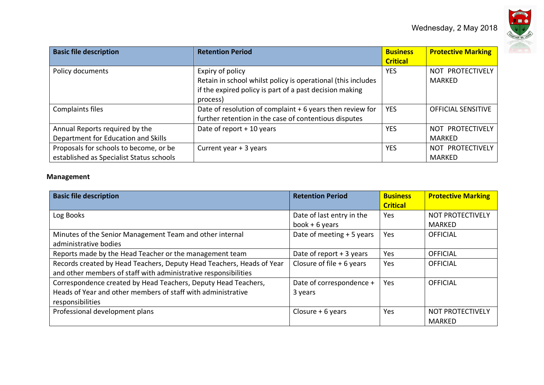

| <b>Basic file description</b>            | <b>Retention Period</b>                                      | <b>Business</b><br><b>Critical</b> | <b>Protective Marking</b> |
|------------------------------------------|--------------------------------------------------------------|------------------------------------|---------------------------|
| Policy documents                         | Expiry of policy                                             | <b>YES</b>                         | NOT PROTECTIVELY          |
|                                          | Retain in school whilst policy is operational (this includes |                                    | MARKED                    |
|                                          | if the expired policy is part of a past decision making      |                                    |                           |
|                                          | process)                                                     |                                    |                           |
| Complaints files                         | Date of resolution of complaint + 6 years then review for    | <b>YES</b>                         | <b>OFFICIAL SENSITIVE</b> |
|                                          | further retention in the case of contentious disputes        |                                    |                           |
| Annual Reports required by the           | Date of report + 10 years                                    | <b>YES</b>                         | NOT PROTECTIVELY          |
| Department for Education and Skills      |                                                              |                                    | MARKED                    |
| Proposals for schools to become, or be   | Current year + 3 years                                       | <b>YES</b>                         | NOT PROTECTIVELY          |
| established as Specialist Status schools |                                                              |                                    | MARKED                    |

#### **Management**

| <b>Basic file description</b>                                         | <b>Retention Period</b>    | <b>Business</b> | <b>Protective Marking</b> |
|-----------------------------------------------------------------------|----------------------------|-----------------|---------------------------|
|                                                                       |                            | <b>Critical</b> |                           |
| Log Books                                                             | Date of last entry in the  | Yes             | <b>NOT PROTECTIVELY</b>   |
|                                                                       | book $+6$ years            |                 | <b>MARKED</b>             |
| Minutes of the Senior Management Team and other internal              | Date of meeting + 5 years  | Yes             | <b>OFFICIAL</b>           |
| administrative bodies                                                 |                            |                 |                           |
| Reports made by the Head Teacher or the management team               | Date of report $+3$ years  | Yes             | <b>OFFICIAL</b>           |
| Records created by Head Teachers, Deputy Head Teachers, Heads of Year | Closure of file $+6$ years | Yes             | <b>OFFICIAL</b>           |
| and other members of staff with administrative responsibilities       |                            |                 |                           |
| Correspondence created by Head Teachers, Deputy Head Teachers,        | Date of correspondence +   | Yes             | <b>OFFICIAL</b>           |
| Heads of Year and other members of staff with administrative          | 3 years                    |                 |                           |
| responsibilities                                                      |                            |                 |                           |
| Professional development plans                                        | Closure $+6$ years         | Yes             | <b>NOT PROTECTIVELY</b>   |
|                                                                       |                            |                 | MARKED                    |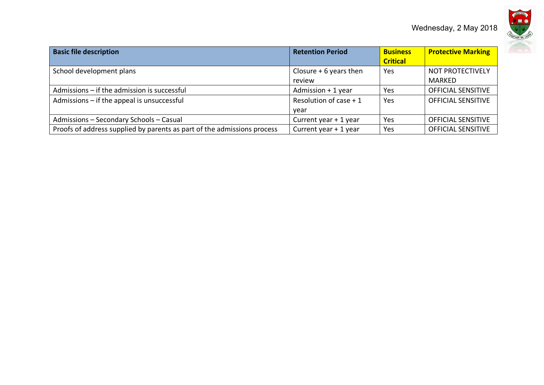

| <b>Basic file description</b>                                           | <b>Retention Period</b>           | <b>Business</b><br><b>Critical</b> | <b>Protective Marking</b>         |
|-------------------------------------------------------------------------|-----------------------------------|------------------------------------|-----------------------------------|
| School development plans                                                | Closure $+6$ years then<br>review | Yes                                | NOT PROTECTIVELY<br><b>MARKED</b> |
| Admissions - if the admission is successful                             | Admission $+1$ year               | Yes                                | <b>OFFICIAL SENSITIVE</b>         |
| Admissions $-$ if the appeal is unsuccessful                            | Resolution of case $+1$<br>vear   | Yes                                | <b>OFFICIAL SENSITIVE</b>         |
| Admissions - Secondary Schools - Casual                                 | Current year + 1 year             | <b>Yes</b>                         | <b>OFFICIAL SENSITIVE</b>         |
| Proofs of address supplied by parents as part of the admissions process | Current year + 1 year             | Yes                                | <b>OFFICIAL SENSITIVE</b>         |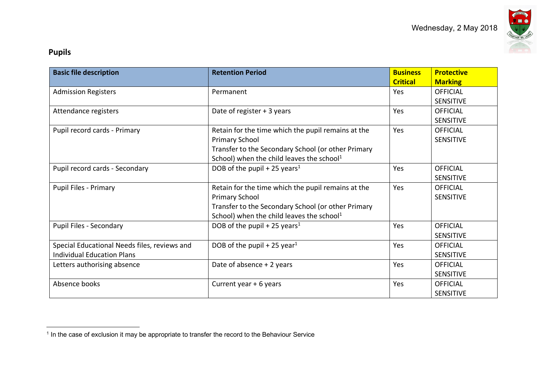

# **Pupils**

| <b>Basic file description</b>                | <b>Retention Period</b>                               | <b>Business</b><br><b>Critical</b> | <b>Protective</b><br><b>Marking</b> |
|----------------------------------------------|-------------------------------------------------------|------------------------------------|-------------------------------------|
| <b>Admission Registers</b>                   | Permanent                                             | Yes                                | <b>OFFICIAL</b>                     |
|                                              |                                                       |                                    | <b>SENSITIVE</b>                    |
| Attendance registers                         | Date of register + 3 years                            | Yes                                | <b>OFFICIAL</b>                     |
|                                              |                                                       |                                    | <b>SENSITIVE</b>                    |
| Pupil record cards - Primary                 | Retain for the time which the pupil remains at the    | Yes                                | <b>OFFICIAL</b>                     |
|                                              | <b>Primary School</b>                                 |                                    | <b>SENSITIVE</b>                    |
|                                              | Transfer to the Secondary School (or other Primary    |                                    |                                     |
|                                              | School) when the child leaves the school <sup>1</sup> |                                    |                                     |
| Pupil record cards - Secondary               | DOB of the pupil + 25 years <sup>1</sup>              | Yes                                | <b>OFFICIAL</b>                     |
|                                              |                                                       |                                    | <b>SENSITIVE</b>                    |
| <b>Pupil Files - Primary</b>                 | Retain for the time which the pupil remains at the    | Yes                                | <b>OFFICIAL</b>                     |
|                                              | <b>Primary School</b>                                 |                                    | <b>SENSITIVE</b>                    |
|                                              | Transfer to the Secondary School (or other Primary    |                                    |                                     |
|                                              | School) when the child leaves the school <sup>1</sup> |                                    |                                     |
| Pupil Files - Secondary                      | DOB of the pupil + 25 years <sup>1</sup>              | Yes                                | <b>OFFICIAL</b>                     |
|                                              |                                                       |                                    | <b>SENSITIVE</b>                    |
| Special Educational Needs files, reviews and | DOB of the pupil + 25 year <sup>1</sup>               | Yes                                | <b>OFFICIAL</b>                     |
| <b>Individual Education Plans</b>            |                                                       |                                    | <b>SENSITIVE</b>                    |
| Letters authorising absence                  | Date of absence + 2 years                             | Yes                                | <b>OFFICIAL</b>                     |
|                                              |                                                       |                                    | <b>SENSITIVE</b>                    |
| Absence books                                | Current year + 6 years                                | Yes                                | <b>OFFICIAL</b>                     |
|                                              |                                                       |                                    | <b>SENSITIVE</b>                    |

 $<sup>1</sup>$  In the case of exclusion it may be appropriate to transfer the record to the Behaviour Service</sup>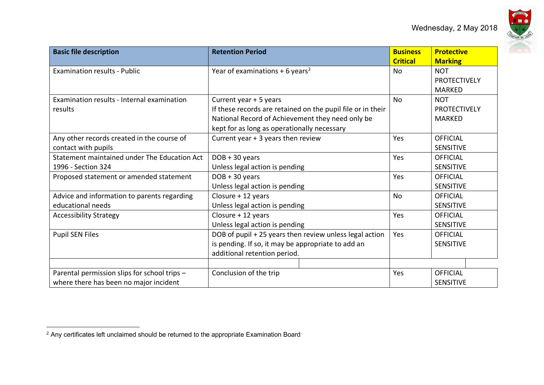

| <b>Basic file description</b>                | <b>Retention Period</b>                                     | <b>Business</b> | <b>Protective</b>   |
|----------------------------------------------|-------------------------------------------------------------|-----------------|---------------------|
|                                              |                                                             | <b>Critical</b> | <b>Marking</b>      |
| <b>Examination results - Public</b>          | Year of examinations + 6 years <sup>2</sup>                 | <b>No</b>       | <b>NOT</b>          |
|                                              |                                                             |                 | <b>PROTECTIVELY</b> |
|                                              |                                                             |                 | <b>MARKED</b>       |
| Examination results - Internal examination   | Current year + 5 years                                      | No              | <b>NOT</b>          |
| results                                      | If these records are retained on the pupil file or in their |                 | <b>PROTECTIVELY</b> |
|                                              | National Record of Achievement they need only be            |                 | <b>MARKED</b>       |
|                                              | kept for as long as operationally necessary                 |                 |                     |
| Any other records created in the course of   | Current year + 3 years then review                          | Yes             | <b>OFFICIAL</b>     |
| contact with pupils                          |                                                             |                 | <b>SENSITIVE</b>    |
| Statement maintained under The Education Act | $DOB + 30 years$                                            | Yes             | <b>OFFICIAL</b>     |
| 1996 - Section 324                           | Unless legal action is pending                              |                 | <b>SENSITIVE</b>    |
| Proposed statement or amended statement      | $DOB + 30 years$                                            | Yes             | <b>OFFICIAL</b>     |
|                                              | Unless legal action is pending                              |                 | <b>SENSITIVE</b>    |
| Advice and information to parents regarding  | Closure + 12 years                                          | <b>No</b>       | <b>OFFICIAL</b>     |
| educational needs                            | Unless legal action is pending                              |                 | <b>SENSITIVE</b>    |
| <b>Accessibility Strategy</b>                | Closure + 12 years                                          | Yes             | <b>OFFICIAL</b>     |
|                                              | Unless legal action is pending                              |                 | <b>SENSITIVE</b>    |
| <b>Pupil SEN Files</b>                       | DOB of pupil + 25 years then review unless legal action     | Yes             | <b>OFFICIAL</b>     |
|                                              | is pending. If so, it may be appropriate to add an          |                 | <b>SENSITIVE</b>    |
|                                              | additional retention period.                                |                 |                     |
|                                              |                                                             |                 |                     |
| Parental permission slips for school trips - | Conclusion of the trip                                      | Yes             | <b>OFFICIAL</b>     |
| where there has been no major incident       |                                                             |                 | SENSITIVE           |

 $2$  Any certificates left unclaimed should be returned to the appropriate Examination Board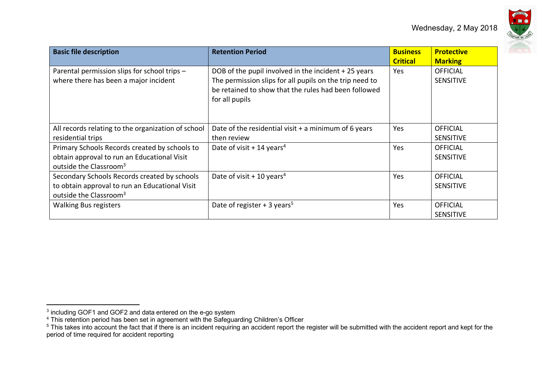

| <b>Basic file description</b>                                                                                                        | <b>Retention Period</b>                                                                                                                                                                  | <b>Business</b><br><b>Critical</b> | <b>Protective</b><br><b>Marking</b> |
|--------------------------------------------------------------------------------------------------------------------------------------|------------------------------------------------------------------------------------------------------------------------------------------------------------------------------------------|------------------------------------|-------------------------------------|
| Parental permission slips for school trips -<br>where there has been a major incident                                                | DOB of the pupil involved in the incident +25 years<br>The permission slips for all pupils on the trip need to<br>be retained to show that the rules had been followed<br>for all pupils | Yes.                               | <b>OFFICIAL</b><br><b>SENSITIVE</b> |
| All records relating to the organization of school<br>residential trips                                                              | Date of the residential visit $+$ a minimum of 6 years<br>then review                                                                                                                    | Yes                                | OFFICIAL<br><b>SENSITIVE</b>        |
| Primary Schools Records created by schools to<br>obtain approval to run an Educational Visit<br>outside the Classroom <sup>3</sup>   | Date of visit + 14 years <sup>4</sup>                                                                                                                                                    | Yes                                | <b>OFFICIAL</b><br><b>SENSITIVE</b> |
| Secondary Schools Records created by schools<br>to obtain approval to run an Educational Visit<br>outside the Classroom <sup>3</sup> | Date of visit + 10 years <sup>4</sup>                                                                                                                                                    | <b>Yes</b>                         | <b>OFFICIAL</b><br><b>SENSITIVE</b> |
| <b>Walking Bus registers</b>                                                                                                         | Date of register + 3 years <sup>5</sup>                                                                                                                                                  | Yes                                | <b>OFFICIAL</b><br><b>SENSITIVE</b> |

 $3$  including GOF1 and GOF2 and data entered on the e-go system

 $4$  This retention period has been set in agreement with the Safeguarding Children's Officer

<sup>&</sup>lt;sup>5</sup> This takes into account the fact that if there is an incident requiring an accident report the register will be submitted with the accident report and kept for the period of time required for accident reporting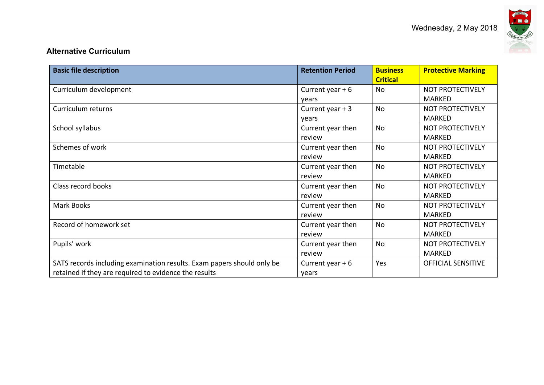

## **Alternative Curriculum**

| <b>Basic file description</b>                                          | <b>Retention Period</b> | <b>Business</b><br><b>Critical</b> | <b>Protective Marking</b> |
|------------------------------------------------------------------------|-------------------------|------------------------------------|---------------------------|
| Curriculum development                                                 | Current year $+6$       | No                                 | <b>NOT PROTECTIVELY</b>   |
|                                                                        | vears                   |                                    | <b>MARKED</b>             |
| Curriculum returns                                                     | Current year $+3$       | <b>No</b>                          | <b>NOT PROTECTIVELY</b>   |
|                                                                        | years                   |                                    | <b>MARKED</b>             |
| School syllabus                                                        | Current year then       | No                                 | <b>NOT PROTECTIVELY</b>   |
|                                                                        | review                  |                                    | <b>MARKED</b>             |
| Schemes of work                                                        | Current year then       | No                                 | <b>NOT PROTECTIVELY</b>   |
|                                                                        | review                  |                                    | <b>MARKED</b>             |
| Timetable                                                              | Current year then       | <b>No</b>                          | <b>NOT PROTECTIVELY</b>   |
|                                                                        | review                  |                                    | <b>MARKED</b>             |
| Class record books                                                     | Current year then       | <b>No</b>                          | <b>NOT PROTECTIVELY</b>   |
|                                                                        | review                  |                                    | <b>MARKED</b>             |
| Mark Books                                                             | Current year then       | No                                 | <b>NOT PROTECTIVELY</b>   |
|                                                                        | review                  |                                    | <b>MARKED</b>             |
| Record of homework set                                                 | Current year then       | <b>No</b>                          | <b>NOT PROTECTIVELY</b>   |
|                                                                        | review                  |                                    | <b>MARKED</b>             |
| Pupils' work                                                           | Current year then       | <b>No</b>                          | <b>NOT PROTECTIVELY</b>   |
|                                                                        | review                  |                                    | <b>MARKED</b>             |
| SATS records including examination results. Exam papers should only be | Current year $+6$       | Yes                                | <b>OFFICIAL SENSITIVE</b> |
| retained if they are required to evidence the results                  | years                   |                                    |                           |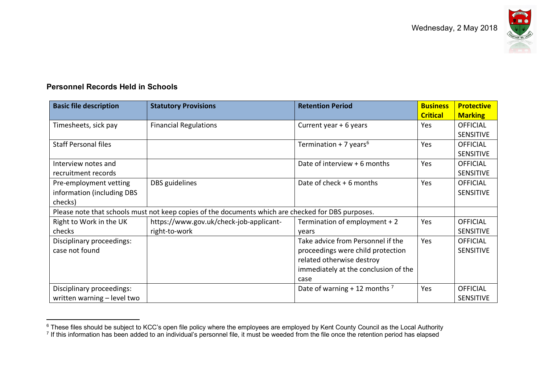

# **Personnel Records Held in Schools**

| <b>Basic file description</b> | <b>Statutory Provisions</b>                                                                        | <b>Retention Period</b>              | <b>Business</b> | <b>Protective</b> |
|-------------------------------|----------------------------------------------------------------------------------------------------|--------------------------------------|-----------------|-------------------|
|                               |                                                                                                    |                                      | <b>Critical</b> | <b>Marking</b>    |
| Timesheets, sick pay          | <b>Financial Regulations</b>                                                                       | Current year + 6 years               | Yes             | <b>OFFICIAL</b>   |
|                               |                                                                                                    |                                      |                 | <b>SENSITIVE</b>  |
| <b>Staff Personal files</b>   |                                                                                                    | Termination + 7 years <sup>6</sup>   | Yes             | <b>OFFICIAL</b>   |
|                               |                                                                                                    |                                      |                 | <b>SENSITIVE</b>  |
| Interview notes and           |                                                                                                    | Date of interview + 6 months         | Yes             | <b>OFFICIAL</b>   |
| recruitment records           |                                                                                                    |                                      |                 | <b>SENSITIVE</b>  |
| Pre-employment vetting        | DBS guidelines                                                                                     | Date of check + 6 months             | Yes             | <b>OFFICIAL</b>   |
| information (including DBS    |                                                                                                    |                                      |                 | <b>SENSITIVE</b>  |
| checks)                       |                                                                                                    |                                      |                 |                   |
|                               | Please note that schools must not keep copies of the documents which are checked for DBS purposes. |                                      |                 |                   |
| Right to Work in the UK       | https://www.gov.uk/check-job-applicant-                                                            | Termination of employment + 2        | Yes             | <b>OFFICIAL</b>   |
| checks                        | right-to-work                                                                                      | vears                                |                 | <b>SENSITIVE</b>  |
| Disciplinary proceedings:     |                                                                                                    | Take advice from Personnel if the    | Yes             | <b>OFFICIAL</b>   |
| case not found                |                                                                                                    | proceedings were child protection    |                 | <b>SENSITIVE</b>  |
|                               |                                                                                                    | related otherwise destroy            |                 |                   |
|                               |                                                                                                    | immediately at the conclusion of the |                 |                   |
|                               |                                                                                                    | case                                 |                 |                   |
| Disciplinary proceedings:     |                                                                                                    | Date of warning + 12 months $^7$     | Yes             | <b>OFFICIAL</b>   |
| written warning - level two   |                                                                                                    |                                      |                 | <b>SENSITIVE</b>  |

 $6$  These files should be subject to KCC's open file policy where the employees are employed by Kent County Council as the Local Authority

 $<sup>7</sup>$  If this information has been added to an individual's personnel file, it must be weeded from the file once the retention period has elapsed</sup>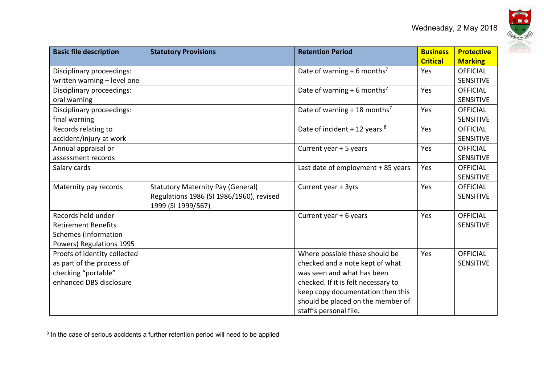

| <b>Basic file description</b> | <b>Statutory Provisions</b>              | <b>Retention Period</b>                  | <b>Business</b> | <b>Protective</b> |
|-------------------------------|------------------------------------------|------------------------------------------|-----------------|-------------------|
|                               |                                          |                                          | <b>Critical</b> | <b>Marking</b>    |
| Disciplinary proceedings:     |                                          | Date of warning + 6 months <sup>7</sup>  | Yes             | <b>OFFICIAL</b>   |
| written warning - level one   |                                          |                                          |                 | <b>SENSITIVE</b>  |
| Disciplinary proceedings:     |                                          | Date of warning + 6 months <sup>7</sup>  | Yes             | <b>OFFICIAL</b>   |
| oral warning                  |                                          |                                          |                 | <b>SENSITIVE</b>  |
| Disciplinary proceedings:     |                                          | Date of warning + 18 months <sup>7</sup> | Yes             | <b>OFFICIAL</b>   |
| final warning                 |                                          |                                          |                 | <b>SENSITIVE</b>  |
| Records relating to           |                                          | Date of incident + 12 years $8$          | Yes             | <b>OFFICIAL</b>   |
| accident/injury at work       |                                          |                                          |                 | <b>SENSITIVE</b>  |
| Annual appraisal or           |                                          | Current year + 5 years                   | Yes             | <b>OFFICIAL</b>   |
| assessment records            |                                          |                                          |                 | <b>SENSITIVE</b>  |
| Salary cards                  |                                          | Last date of employment + 85 years       | Yes             | <b>OFFICIAL</b>   |
|                               |                                          |                                          |                 | <b>SENSITIVE</b>  |
| Maternity pay records         | <b>Statutory Maternity Pay (General)</b> | Current year + 3yrs                      | Yes             | <b>OFFICIAL</b>   |
|                               | Regulations 1986 (SI 1986/1960), revised |                                          |                 | <b>SENSITIVE</b>  |
|                               | 1999 (SI 1999/567)                       |                                          |                 |                   |
| Records held under            |                                          | Current year + 6 years                   | Yes             | <b>OFFICIAL</b>   |
| <b>Retirement Benefits</b>    |                                          |                                          |                 | <b>SENSITIVE</b>  |
| <b>Schemes (Information</b>   |                                          |                                          |                 |                   |
| Powers) Regulations 1995      |                                          |                                          |                 |                   |
| Proofs of identity collected  |                                          | Where possible these should be           | Yes             | <b>OFFICIAL</b>   |
| as part of the process of     |                                          | checked and a note kept of what          |                 | <b>SENSITIVE</b>  |
| checking "portable"           |                                          | was seen and what has been               |                 |                   |
| enhanced DBS disclosure       |                                          | checked. If it is felt necessary to      |                 |                   |
|                               |                                          | keep copy documentation then this        |                 |                   |
|                               |                                          | should be placed on the member of        |                 |                   |
|                               |                                          | staff's personal file.                   |                 |                   |

 $8$  In the case of serious accidents a further retention period will need to be applied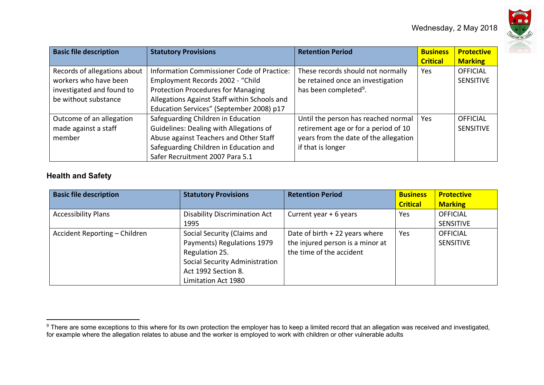

| <b>Basic file description</b>                                                                              | <b>Statutory Provisions</b>                                                                                                                                                                                                    | <b>Retention Period</b>                                                                                                                   | <b>Business</b><br><b>Critical</b> | <b>Protective</b><br><b>Marking</b> |
|------------------------------------------------------------------------------------------------------------|--------------------------------------------------------------------------------------------------------------------------------------------------------------------------------------------------------------------------------|-------------------------------------------------------------------------------------------------------------------------------------------|------------------------------------|-------------------------------------|
| Records of allegations about<br>workers who have been<br>investigated and found to<br>be without substance | <b>Information Commissioner Code of Practice:</b><br>Employment Records 2002 - "Child<br><b>Protection Procedures for Managing</b><br>Allegations Against Staff within Schools and<br>Education Services" (September 2008) p17 | These records should not normally<br>be retained once an investigation<br>has been completed <sup>9</sup> .                               | Yes                                | <b>OFFICIAL</b><br><b>SENSITIVE</b> |
| Outcome of an allegation<br>made against a staff<br>member                                                 | Safeguarding Children in Education<br>Guidelines: Dealing with Allegations of<br>Abuse against Teachers and Other Staff<br>Safeguarding Children in Education and<br>Safer Recruitment 2007 Para 5.1                           | Until the person has reached normal<br>retirement age or for a period of 10<br>years from the date of the allegation<br>if that is longer | Yes                                | OFFICIAL<br><b>SENSITIVE</b>        |

# **Health and Safety**

| <b>Basic file description</b> | <b>Statutory Provisions</b>           | <b>Retention Period</b>          | <b>Business</b> | <b>Protective</b> |
|-------------------------------|---------------------------------------|----------------------------------|-----------------|-------------------|
|                               |                                       |                                  | <b>Critical</b> | <b>Marking</b>    |
| <b>Accessibility Plans</b>    | <b>Disability Discrimination Act</b>  | Current year + 6 years           | Yes             | <b>OFFICIAL</b>   |
|                               | 1995                                  |                                  |                 | <b>SENSITIVE</b>  |
| Accident Reporting - Children | Social Security (Claims and           | Date of birth $+$ 22 years where | Yes             | <b>OFFICIAL</b>   |
|                               | Payments) Regulations 1979            | the injured person is a minor at |                 | <b>SENSITIVE</b>  |
|                               | Regulation 25.                        | the time of the accident         |                 |                   |
|                               | <b>Social Security Administration</b> |                                  |                 |                   |
|                               | Act 1992 Section 8.                   |                                  |                 |                   |
|                               | Limitation Act 1980                   |                                  |                 |                   |

<sup>&</sup>lt;sup>9</sup> There are some exceptions to this where for its own protection the employer has to keep a limited record that an allegation was received and investigated, for example where the allegation relates to abuse and the worker is employed to work with children or other vulnerable adults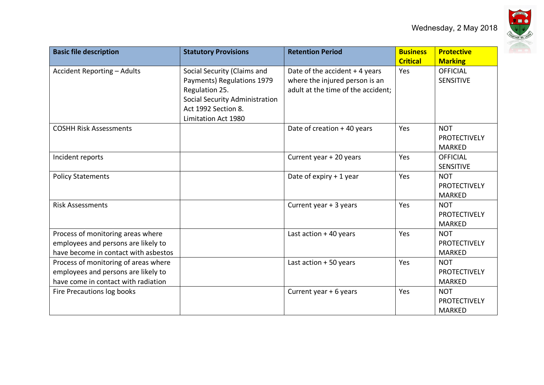

| <b>Basic file description</b>                                                                                      | <b>Statutory Provisions</b>                                                                                                                                        | <b>Retention Period</b>                                                                                | <b>Business</b><br><b>Critical</b> | <b>Protective</b><br><b>Marking</b>                |
|--------------------------------------------------------------------------------------------------------------------|--------------------------------------------------------------------------------------------------------------------------------------------------------------------|--------------------------------------------------------------------------------------------------------|------------------------------------|----------------------------------------------------|
| Accident Reporting - Adults                                                                                        | Social Security (Claims and<br>Payments) Regulations 1979<br>Regulation 25.<br><b>Social Security Administration</b><br>Act 1992 Section 8.<br>Limitation Act 1980 | Date of the accident + 4 years<br>where the injured person is an<br>adult at the time of the accident; | Yes                                | <b>OFFICIAL</b><br><b>SENSITIVE</b>                |
| <b>COSHH Risk Assessments</b>                                                                                      |                                                                                                                                                                    | Date of creation + 40 years                                                                            | Yes                                | <b>NOT</b><br><b>PROTECTIVELY</b><br><b>MARKED</b> |
| Incident reports                                                                                                   |                                                                                                                                                                    | Current year + 20 years                                                                                | Yes                                | <b>OFFICIAL</b><br><b>SENSITIVE</b>                |
| <b>Policy Statements</b>                                                                                           |                                                                                                                                                                    | Date of expiry $+1$ year                                                                               | Yes                                | <b>NOT</b><br><b>PROTECTIVELY</b><br><b>MARKED</b> |
| <b>Risk Assessments</b>                                                                                            |                                                                                                                                                                    | Current year + 3 years                                                                                 | Yes                                | <b>NOT</b><br><b>PROTECTIVELY</b><br><b>MARKED</b> |
| Process of monitoring areas where<br>employees and persons are likely to<br>have become in contact with asbestos   |                                                                                                                                                                    | Last action $+40$ years                                                                                | Yes                                | <b>NOT</b><br><b>PROTECTIVELY</b><br><b>MARKED</b> |
| Process of monitoring of areas where<br>employees and persons are likely to<br>have come in contact with radiation |                                                                                                                                                                    | Last action + 50 years                                                                                 | Yes                                | <b>NOT</b><br>PROTECTIVELY<br><b>MARKED</b>        |
| Fire Precautions log books                                                                                         |                                                                                                                                                                    | Current year + 6 years                                                                                 | Yes                                | <b>NOT</b><br>PROTECTIVELY<br><b>MARKED</b>        |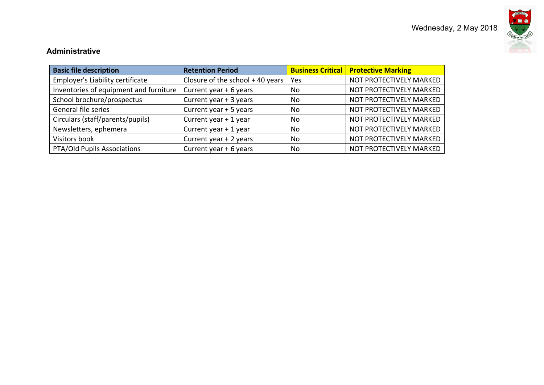



## **Administrative**

| <b>Basic file description</b>          | <b>Retention Period</b>         |     | <b>Business Critical Protective Marking</b> |
|----------------------------------------|---------------------------------|-----|---------------------------------------------|
| Employer's Liability certificate       | Closure of the school +40 years | Yes | NOT PROTECTIVELY MARKED                     |
| Inventories of equipment and furniture | Current year + 6 years          | No  | NOT PROTECTIVELY MARKED                     |
| School brochure/prospectus             | Current year + 3 years          | No  | NOT PROTECTIVELY MARKED                     |
| General file series                    | Current year + 5 years          | No  | NOT PROTECTIVELY MARKED                     |
| Circulars (staff/parents/pupils)       | Current year + 1 year           | No  | NOT PROTECTIVELY MARKED                     |
| Newsletters, ephemera                  | Current year + 1 year           | No  | NOT PROTECTIVELY MARKED                     |
| Visitors book                          | Current year + 2 years          | No  | NOT PROTECTIVELY MARKED                     |
| PTA/Old Pupils Associations            | Current year + 6 years          | No  | NOT PROTECTIVELY MARKED                     |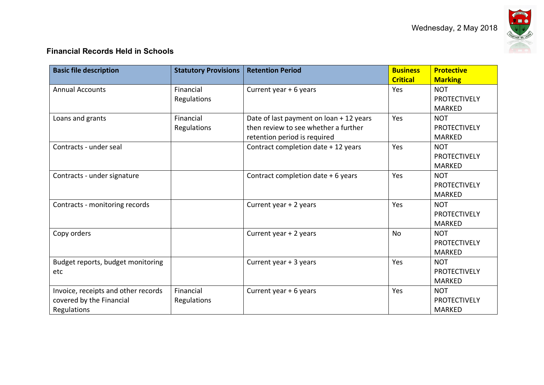

# **Financial Records Held in Schools**

| <b>Basic file description</b>                                                  | <b>Statutory Provisions</b> | <b>Retention Period</b>                                                                                         | <b>Business</b><br><b>Critical</b> | <b>Protective</b><br><b>Marking</b>                |
|--------------------------------------------------------------------------------|-----------------------------|-----------------------------------------------------------------------------------------------------------------|------------------------------------|----------------------------------------------------|
| <b>Annual Accounts</b>                                                         | Financial<br>Regulations    | Current year + 6 years                                                                                          | Yes                                | <b>NOT</b><br><b>PROTECTIVELY</b><br><b>MARKED</b> |
| Loans and grants                                                               | Financial<br>Regulations    | Date of last payment on loan + 12 years<br>then review to see whether a further<br>retention period is required | Yes                                | <b>NOT</b><br><b>PROTECTIVELY</b><br><b>MARKED</b> |
| Contracts - under seal                                                         |                             | Contract completion date + 12 years                                                                             | Yes                                | <b>NOT</b><br><b>PROTECTIVELY</b><br><b>MARKED</b> |
| Contracts - under signature                                                    |                             | Contract completion date + 6 years                                                                              | Yes                                | <b>NOT</b><br><b>PROTECTIVELY</b><br><b>MARKED</b> |
| Contracts - monitoring records                                                 |                             | Current year + 2 years                                                                                          | Yes                                | <b>NOT</b><br><b>PROTECTIVELY</b><br><b>MARKED</b> |
| Copy orders                                                                    |                             | Current year + 2 years                                                                                          | <b>No</b>                          | <b>NOT</b><br><b>PROTECTIVELY</b><br><b>MARKED</b> |
| Budget reports, budget monitoring<br>etc                                       |                             | Current year + 3 years                                                                                          | Yes                                | <b>NOT</b><br><b>PROTECTIVELY</b><br><b>MARKED</b> |
| Invoice, receipts and other records<br>covered by the Financial<br>Regulations | Financial<br>Regulations    | Current year + 6 years                                                                                          | Yes                                | <b>NOT</b><br><b>PROTECTIVELY</b><br><b>MARKED</b> |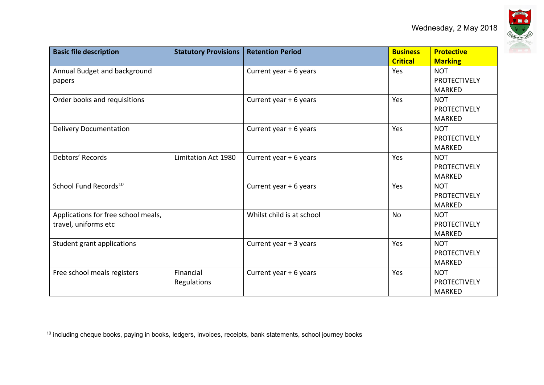

| <b>Basic file description</b>                               | <b>Statutory Provisions</b> | <b>Retention Period</b>   | <b>Business</b><br><b>Critical</b> | <b>Protective</b><br><b>Marking</b>                |
|-------------------------------------------------------------|-----------------------------|---------------------------|------------------------------------|----------------------------------------------------|
| Annual Budget and background<br>papers                      |                             | Current year + 6 years    | Yes                                | <b>NOT</b><br><b>PROTECTIVELY</b><br><b>MARKED</b> |
| Order books and requisitions                                |                             | Current year + 6 years    | Yes                                | <b>NOT</b><br><b>PROTECTIVELY</b><br><b>MARKED</b> |
| <b>Delivery Documentation</b>                               |                             | Current year + 6 years    | Yes                                | <b>NOT</b><br><b>PROTECTIVELY</b><br><b>MARKED</b> |
| Debtors' Records                                            | Limitation Act 1980         | Current year + 6 years    | Yes                                | <b>NOT</b><br><b>PROTECTIVELY</b><br><b>MARKED</b> |
| School Fund Records <sup>10</sup>                           |                             | Current year + 6 years    | Yes                                | <b>NOT</b><br><b>PROTECTIVELY</b><br><b>MARKED</b> |
| Applications for free school meals,<br>travel, uniforms etc |                             | Whilst child is at school | <b>No</b>                          | <b>NOT</b><br><b>PROTECTIVELY</b><br><b>MARKED</b> |
| Student grant applications                                  |                             | Current year + 3 years    | Yes                                | <b>NOT</b><br><b>PROTECTIVELY</b><br><b>MARKED</b> |
| Free school meals registers                                 | Financial<br>Regulations    | Current year + 6 years    | Yes                                | <b>NOT</b><br><b>PROTECTIVELY</b><br><b>MARKED</b> |

<sup>&</sup>lt;sup>10</sup> including cheque books, paying in books, ledgers, invoices, receipts, bank statements, school journey books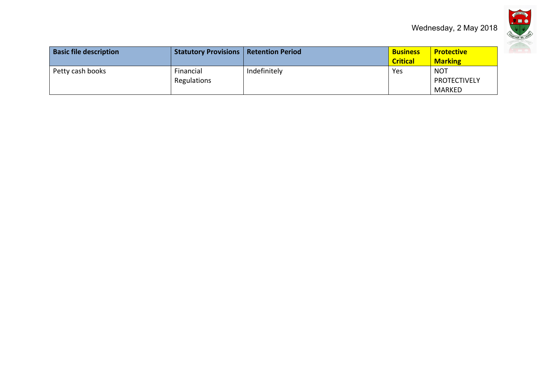

| <b>Basic file description</b> | <b>Statutory Provisions   Retention Period</b> |              | <b>Business</b><br><b>Critical</b> | <b>Protective</b><br><b>Marking</b> |
|-------------------------------|------------------------------------------------|--------------|------------------------------------|-------------------------------------|
| Petty cash books              | Financial<br>Regulations                       | Indefinitely | Yes                                | <b>NOT</b><br><b>PROTECTIVELY</b>   |
|                               |                                                |              |                                    | MARKED                              |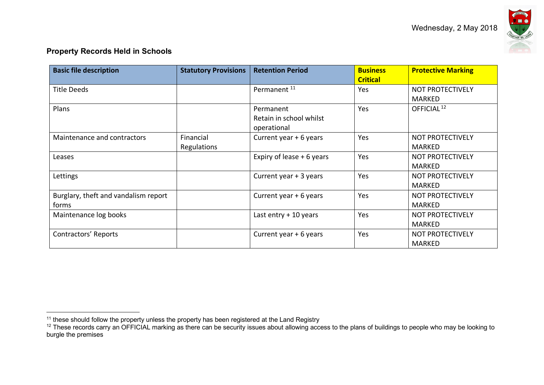

### **Property Records Held in Schools**

| <b>Basic file description</b>                 | <b>Statutory Provisions</b>     | <b>Retention Period</b>                             | <b>Business</b><br><b>Critical</b> | <b>Protective Marking</b>                |
|-----------------------------------------------|---------------------------------|-----------------------------------------------------|------------------------------------|------------------------------------------|
| Title Deeds                                   |                                 | Permanent <sup>11</sup>                             | Yes                                | <b>NOT PROTECTIVELY</b><br><b>MARKED</b> |
| Plans                                         |                                 | Permanent<br>Retain in school whilst<br>operational | Yes                                | OFFICIAL <sup>12</sup>                   |
| Maintenance and contractors                   | Financial<br><b>Regulations</b> | Current year + 6 years                              | Yes                                | <b>NOT PROTECTIVELY</b><br><b>MARKED</b> |
| Leases                                        |                                 | Expiry of lease $+6$ years                          | Yes                                | <b>NOT PROTECTIVELY</b><br><b>MARKED</b> |
| Lettings                                      |                                 | Current year + 3 years                              | Yes                                | <b>NOT PROTECTIVELY</b><br><b>MARKED</b> |
| Burglary, theft and vandalism report<br>forms |                                 | Current year + 6 years                              | Yes                                | <b>NOT PROTECTIVELY</b><br><b>MARKED</b> |
| Maintenance log books                         |                                 | Last entry $+10$ years                              | Yes                                | <b>NOT PROTECTIVELY</b><br><b>MARKED</b> |
| Contractors' Reports                          |                                 | Current year + 6 years                              | Yes                                | NOT PROTECTIVELY<br><b>MARKED</b>        |

 $11$  these should follow the property unless the property has been registered at the Land Registry

<sup>&</sup>lt;sup>12</sup> These records carry an OFFICIAL marking as there can be security issues about allowing access to the plans of buildings to people who may be looking to burgle the premises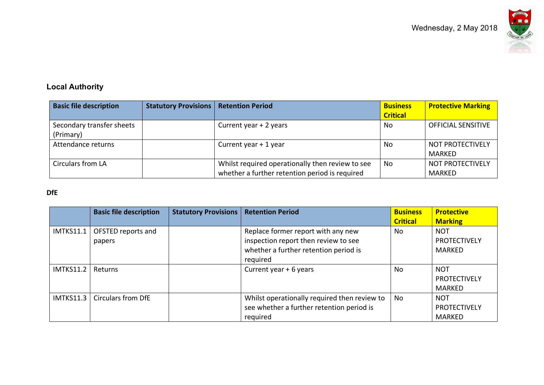

# **Local Authority**

| <b>Basic file description</b> | <b>Statutory Provisions</b> | <b>Retention Period</b>                          | <b>Business</b> | <b>Protective Marking</b> |
|-------------------------------|-----------------------------|--------------------------------------------------|-----------------|---------------------------|
|                               |                             |                                                  | <b>Critical</b> |                           |
| Secondary transfer sheets     |                             | Current year + 2 years                           | No              | <b>OFFICIAL SENSITIVE</b> |
| (Primary)                     |                             |                                                  |                 |                           |
| Attendance returns            |                             | Current year $+1$ year                           | No              | NOT PROTECTIVELY          |
|                               |                             |                                                  |                 | MARKED                    |
| Circulars from LA             |                             | Whilst required operationally then review to see | No              | <b>NOT PROTECTIVELY</b>   |
|                               |                             | whether a further retention period is required   |                 | MARKED                    |

## **DfE**

|                  | <b>Basic file description</b> | <b>Statutory Provisions</b> | <b>Retention Period</b>                                                                                                         | <b>Business</b><br><b>Critical</b> | <b>Protective</b><br><b>Marking</b>                |
|------------------|-------------------------------|-----------------------------|---------------------------------------------------------------------------------------------------------------------------------|------------------------------------|----------------------------------------------------|
| <b>IMTKS11.1</b> | OFSTED reports and<br>papers  |                             | Replace former report with any new<br>inspection report then review to see<br>whether a further retention period is<br>required | No                                 | <b>NOT</b><br><b>PROTECTIVELY</b><br>MARKED        |
| <b>IMTKS11.2</b> | <b>Returns</b>                |                             | Current year + 6 years                                                                                                          | No                                 | <b>NOT</b><br><b>PROTECTIVELY</b><br><b>MARKED</b> |
| IMTKS11.3        | <b>Circulars from DfE</b>     |                             | Whilst operationally required then review to<br>see whether a further retention period is<br>required                           | No                                 | <b>NOT</b><br><b>PROTECTIVELY</b><br>MARKED        |